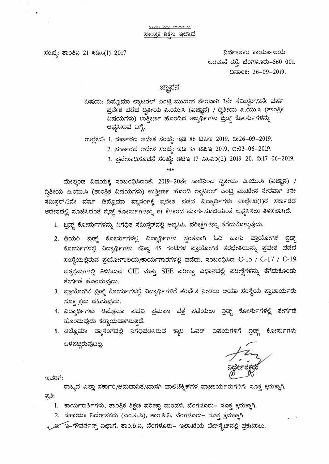ಸಂಖ್ಯೆ: ತಾಂಶಿನಿ 21 ಸಿಡಿಸಿ(1) 2017

 $\overline{\mathbf{z}}$ 

ನಿರ್ದೇಶಕರ ಕಾರ್ಯಾಲಯ edct)c:3 d~. 2".3ori~d:>-560 001. *...f)*  0~05: 26-09-2019.

## ಜ್ಞಾಪನ

್ಞ್<br>ವಿಷಯ: ಡಿಪ್ಲೊಮಾ ಲ್ಯಾಟರಲ್ ಎಂಟ್ರಿ ಮುಖೇನ ನೇರವಾಗಿ 3ನೇ ಸೆಮಿಸ್ಟರ್/2ನೇ ವರ್ಷ ಪ್ರವೇಶ ಪಡೆದ ದ್ವಿತೀಯ ಪಿ.ಯು.ಸಿ (ವಿಜ್ಞಾನ) / ದ್ವಿತೀಯ ಪಿ.ಯು.ಸಿ (ತಾಂತ್ರಿಕ ಪ್ರವೇಶ ಪಡೆದ ದ್ವಿತೀಯ ಪಿ.ಯು.ಸಿ (ವಿಜ್ಞಾನ) / ದ್ವಿತೀಯ ಪಿ.ಯು.ಸಿ (ತಾ<br>ವಿಷಯಗಳು) ಉತ್ತೀರ್ಣ ಹೊಂದಿದ ಅಭ್ಯರ್ಥಿಗಳು ಬ್ರಿಡ್ಜ್ ಕೋರ್ಸುಗಳನ್ನು ಆಭ್ಯಸಿಸುವ ಬಗ್ಗೆ. <sup>-</sup>

ಉಲ್ಲೇಖ: 1. ಸರ್ಕಾರದ ಆದೇಶ ಸಂಖ್ಯೆ: ಇಡಿ 86 ಟಿಪಿಇ 2019, ದಿ:26–09–2019.

- **2. ;?:3uuFdd ede~ ;?jom<sup>6</sup> : ~~ 35 e.3~~ 2019, D:03-06-2019.**
- **3.** c3@e~Q~25c:3 **;?jom 6 : ~e.3~** 17 .w~.wo(2) **2019-20, D:17-06-2019.**

\*\*\*

ಮೇಲ್ಕಂಡ ವಿಷಯಕ್ಕೆ ಸಂಬಂಧಿಸಿದಂತೆ, 2019–20ನೇ ಸಾಲಿನಿಂದ ದ್ವಿತೀಯ ಪಿ.ಯು.ಸಿ (ವಿಜ್ಞಾನ) / ~ ; (ಎಜ್ಞಾನಿ ಎಷಯಕ್ಕೆ ಸಂಬಂಧಿಸಿದಂತಿ, 2019–20ನೇ ಸಾಲನಿಂದ ದ್ವತೀಯ ಪಿ.ಯು.ಸ<br>ದ್ವಿತೀಯ ಪಿ.ಯು.ಸಿ (ತಾಂತ್ರಿಕ ವಿಷಯಗಳು) ಉತ್ತೀರ್ಣ ಹೊಂದಿ ಲ್ಯಾಟರಲ್ ಎಂಟ್ರಿ ಮುಖೇನ ನೇರವಾಗಿ 3ನೇ ದ್ವತೀಯ ಪಿ.ಯು.ಸಿ (ತಾಂತ್ರಿಕ ಏಷಯಗಳು) ಉತ್ತೀರ್ಣ ಹೊಂದ ಲ್ಯಾಟಂಲ್ ಎಂಟ್ರ ಮುಖೇನಿ ನೀಂಎಾಗಿ ೨ನೀ<br>ಸೆಮಿಸ್ಟರ್/2ನೇ ವರ್ಷ ಡಿಪ್ಲೊಮಾ ವ್ಯಾಸಂಗಕ್ಕೆ ಪ್ರವೇಶ ಪಡೆದ ವಿದ್ಯಾರ್ಥಿಗಳು ಉಲ್ಲೇಖ(1)ರ ಸರ್ಕಾರದ ಸಮಿಸ್ಟರ್/2ನೇ ವರ್ಷ ಡಿಪ್ಲೂಮಾ ವ್ಯಾಸಂಗಕ್ಕ ಪ್ರವೇಶ ಪಡದ ಎದ್ಯಾರ್ಥಿಗಳು ಉಲ್ಲೇಖ(1)೦ ಸರ್ಕಾರಿದ<br>ಆದೇಶದಲ್ಲಿ ಸೂಚಿಸಿದಂತೆ ಬ್ರಿಡ್ಜ್ ಕೋರ್ಸುಗಳನ್ನು ಈ ಕೆಳಕಂಡ ಮಾರ್ಗಸೂಚಿಯಂತೆ ಅಭ್ಯಸಿಸಲು ತಿಳಿಸಲಾಗಿದೆ.

- 1. ಬ್ರಿಡ್ಜ್ ಕೋರ್ಸುಗಳನ್ನು ನಿಗಧಿತ ಸೆಮಿಸ್ಟರ್ನಲ್ಲಿ ಅಭ್ಯಸಿಸಿ, ಪರೀಕ್ಷೆಗಳನ್ನು ತೆಗೆದುಕೊಳ್ಳುವುದು.
- 2. ಥಿಯರಿ ಬ್ರಿಡ್ಜ್ ಕೋರ್ಸುಗಳಲ್ಲಿ ವಿದ್ಯಾರ್ಥಿಗಳು ಸ್ವಂತವಾಗಿ ಓದಿ ಹಾಗು ಪ್ರಾಯೋಗಿಕ ಬ್ರಿಡ್ಜ್ ಧಿಯಲ್ ಜ್ರಜ್ಜ ಬೆಂಗಿದೆ. ಗನ್ಮಿಷ ದಿವ್ಯಾಧಿ ಗಿಣ ಸ್ವಾಲಮಿಗೆ ಇದು ಇದೆಗೆ ಇತ್ತು ಬೆಂಗಿಗೆ ತ್ರಸ್ಥ<br>ಕೋರ್ಸುಗಳಲ್ಲಿ ವಿದ್ಯಾರ್ಥಿಗಳು ಕನಿಷ್ಠ 45 ಗಂಟೆಗಳ ಪ್ರಾಯೋಗಿಕ ತರಭೇತಿಯನ್ನು ಪ್ರವೇಶ ಪಡೆದ ;?jo1o:t~ct>&':l c3oir.)em~o±>/uucmn1udri~~ crl~cti. ;?jo2JoQ~d C-15 *I* C-17 / C-19 ಪಠ್ಯಕ್ರಮಗಳಲ್ಲಿ ತಿಳಿಸಿರುವ CIE ಮತ್ತು SEE ಪರೀಕ್ಷಾ ವಿಧಾನದಲ್ಲಿ ಪರೀಕ್ಷೆಗಳನ್ನು ತೆಗೆದುಕೊಂಡು ತೇರ್ಗಡೆ ಹೊಂದುವುದು.
- 3. ~oir.)er,5 9~ MemFri~~ ~~ 6 (l:)Fri~ii 3de;3e~ Ne~e).) eo:bu ;?jo1o:t ~z.:mo±>Fd:> ಸೂಕ್ತ ಕ್ರಮ ವಹಿಸುವುದು.
- 4. ವಿದ್ಯಾರ್ಥಿಗಳು ಡಿಪ್ಲೊಮಾ ಪದವಿ ಪ್ರಮಾಣ ಪತ್ರ ಪಡೆಯಲು ಬ್ರಿಡ್ಜ್ ಕೋರ್ಸುಗಳಲ್ಲಿ ತೇರ್ಗಡೆ ~octi~cti 5~cm~r,ct>3d. *Co ...f)*
- ಹೂಂದುವುದು ಕಡ್ಡಾಯವಾಗಿರುತ್ತಿದ.<br>5. ಡಿಪ್ಲೊಮಾ ವ್ಯಾಸಂಗದಲ್ಲಿ ನಿಗಧಿಪಡಿಸಿರುವ ಕ್ಯಾರಿ ಓವರ್ ವಿಷಯಗಳಿಗೆ ಬ್ರಿಡ್ಜ್ ಕೋರ್ಸುಗಳು ಒಳಪಟ್ಟಿರುವುದಿಲ್ಲ.

 $f^2$ 

ಇವರಿಗೆ:

ರಾಜ್ಯದ ಎಲ್ಲಾ ಸರ್ಕಾರಿ/ಅನುದಾನಿತ/ಖಾಸಗಿ ಪಾಲಿಟೆಕ್ನಿಕ್ಗಳ ಪ್ರಾಚಾರ್ಯರುಗಳಿಗೆ: ಸೂಕ್ತ ಕ್ರಮಕ್ಕಾಗಿ.

- 1. ಕಾರ್ಯದರ್ಶಿಗಳು, ತಾಂತ್ರಿಕ ಶಿಕ್ಷಣ ಪರೀಕ್ಷಾ ಮಂಡಳಿ, ಬೆಂಗಳೂರು– ಸೂಕ್ತ ಕ್ರಮಕ್ಕಾಗಿ.
- 1. ಕಾರ್ಯದರ್ಶಿಗಳು, ತಾರತ್ರಕ ಶಕ್ಷಣ ಪರೀಕ್ಷ್ಮ ಮರಡಳ, ಬರಗಳೂರು– ಸೂಕ್ತ ಕ್ರಮಕ<br>2. ಸಹಾಯಕ ನಿರ್ದೇಶಕರು (ಎಂ.ಪಿ.ಸಿ), ತಾಂ.ಶಿ.ನಿ, ಬೆಂಗಳೂರು– ಸೂಕ್ತ ಕ್ರಮಕ್ಕಾಗಿ.
- . **~** '"'~**~q** -~&':lc:3F~ **,.,J** ~~ri. acio.~.N. 2".3ori~ct>- ~~mo±> @~~*t::}* 1~~~ **M::.:.,** cn5e.3;?:3e).).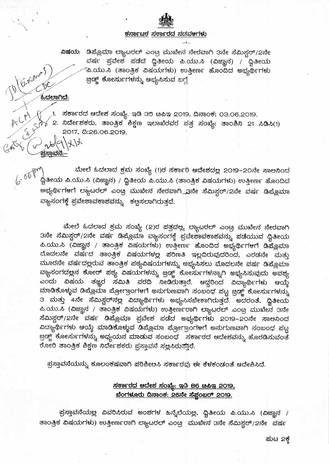## <u>ಕರ್ನಾಟಕ ಸರ್ಕಾರದ ನಡವಳಗಳು</u>

ವರ್ಷ ಪ್ರವೇಶ ಪಡೆದ ದ್ವಿತೀಯ ಪಿ.ಯು.ಸಿ (ವಿಜ್ಞಾನ) / ದ್ವಿತೀಯ ´ಪಿ.ಯು.ಸಿ (ತಾಂತ್ರಿಕ ವಿಷಯಗಳು) ಉತ್ತೀರ್ಣ ಹೊಂದಿದ ಅಭ್ಯರ್ಥಿಗಳು <u> ಜ್ರಿಡ್ಜ್</u> ಕೋರ್ಸುಗಳನ್ನು ಆಭ್ಯಸಿಸುವ ಬಗ್ಗೆ

<u> ಓದಲಾಗಿದೆ:</u>

十一

Expans

1. ಸರ್ಕಾರದ ಆದೇಶ ಸಂಖ್ಯೆ. ಇಡಿ 35 ೞಪಿಇ 2019, ದಿನಾಂಕ: 03.06.2019.  $\sqrt$  2. ನಿರ್ದೇಶಕರು, ತಾಂತ್ರಿಕ ಶಿಕ್ಷಣ ಇಲಾಖೆರವರ ಪತ್ರ ಸಂಖ್ಯೆ: ತಾಂಶಿನಿ 21 ಸಿಡಿಸಿ(1) 2017, 0:26.06.2019.

ಮೇಲೆ ಓದಲಾದ ಕ್ರಮ ಸಂಖ್ಯೆ (1)ರ ಸರ್ಕಾರಿ ಆದೇಶದಲ್ಲ 2O19–2Oನೇ ಸಾಲನಿಂದ ದ್ವಿತೀಯ ಪಿ.ಯು.ಸಿ (ವಿಜ್ಞಾನ) / ದ್ವಿತೀಯ ಪಿ.ಯು.ಸಿ (ತಾಂತ್ರಿಕ ವಿಷಯಗಳು) ಉತ್ತೀರ್ಣ ಹೊಂದಿದ ಅಭ್ಯರ್ಥಿಗಳಗೆ ಲ್ಯಾಟರಲ್ ಎಂಟ್ರ ಮುಖೇನ ನೇರವಾಗ<u>ಿ .ಇ</u>ನೇ ಸೆಮಿಸ್ಟರ್/2ನೇ ವರ್ಷ ಡಿಪ್ಲೊಮಾ ವ್ಯಾಸಂಗಕ್ಕೆ ಪ್ರವೇಶಾವಕಾಶವನ್ನು ಕಲ್ಪಸಲಾಗಿರುತ್ತದೆ.

ಮೇಲೆ ಓದಲಾದ ಕ್ರಮ ಸಂಖ್ಯೆ (2)ರ ಪತ್ರದಲ್ಲ. ಲ್ಯಾಟರಲ್ ಎಂಟ್ರ ಮುಖೇನ ನೇರವಾಗಿ ತನೇ ಸೆಮಿಸ್ಟರ್/2ನೇ ವರ್ಷ ಡಿಪ್ಲೊಮಾ ವ್ಯಾಸಂಗಕ್ಕೆ ಪ್ರವೇಶಾವಕಾಶವನ್ನು ಪಡೆಯುವ ದ್ವಿತೀಯ ಪಿ.ಯು.ಸಿ (ವಿಜ್ಞಾನ / ತಾಂತ್ರಿಕ ವಿಷಯಗಳು) ಉತ್ತೀರ್ಣ ಹೊಂದಿದ ಅಭ್ಯರ್ಥಿಗಳಗೆ ಡಿಪ್ಲೊಮಾ ಮೊದಲನೇ ವರ್ಷದ ತಾಂತ್ರಿಕ ವಿಷಯಗಳಲ್ಲ ಪರಿಣತಿ ಇಲ್ಲದಿರುವುದರಿಂದ, ಎರಡನೇ ಮತ್ತು ಮೂರನೇ ವರ್ಷದಲ್ಲರುವ ತಾಂತ್ರಿಕ ಪಠ್ಯವಿಷಯಗಳನ್ನು ಅಭ್ಯಸಿಸಲು ಮೊದಲನೇ ವರ್ಷ ಡಿಪ್ಲೊಮಾ ಎಂದು ವಿಷಯ ತಜ್ಞರ ಸಮಿತಿ ವರದಿ ನೀಡಿರುತ್ತಾರೆ. ಆದ್ದರಿಂದ ವಿದ್ಯಾರ್ಥಿಗಳು ಆಯ್ಕೆ ಮಾಡಿಕೊಳ್ಳುವ ಡಿಪ್ಲೊಮಾ ಪ್ರೋಗ್ರಾಂಗಳಗೆ ಅನುಗುಣವಾಗಿ ಸಂಬಂಧ ಪಟ್ಟ ಜ್ರಿಡ್ಜ್ ಕೋರ್ಸುಗಳನ್ನು ౩ ಮತ್ತು 4ನೇ ಸೆಮಿಸ್ಟರ್**ನಲ್ಲ ವಿದ್ಯಾರ್ಥಿಗಳು ಅಭ್ಯಸಿಸಬೇಕಾಗಿರುತ್ತದೆ**. ಅದರಂತೆ, ದ್ವಿತೀಯ ಪಿ.ಯು.ಸಿ (ವಿಜ್ಞಾನ / ತಾಂತ್ರಿಕ ವಿಷಯಗಳು) ಉತ್ತೀರ್ಣರಾಗಿ ಲ್ಯಾಟರಲ್ ಎಂಟ್ರ ಮುಖೇನ 3ನೇ ಸೆಮಿಸ್ಟರ್/2ನೇ ವರ್ಷ ಡಿಪ್ಲೊಮಾ ಪ್ರವೇಶ ಪಡೆದ ಅಭ್ಯರ್ಥಿಗಳು 2೦19–2೦ನೇ ಸಾಲನಿಂದ ವಿದ್ಯಾರ್ಥಿಗಳು ಆಯ್ಕೆ ಮಾಡಿಕೊಳ್ಳುವ ಡಿಪ್ಲೊಮಾ ಪ್ರೋಗ್ರಾಂಗಳಗೆ ಅನುಗುಣವಾಗಿ ಸಂಬಂಧ ಪಟ್ಟ ಕೋರಿ ತಾಂತ್ರಿಕ ಶಿಕ್ಷಣ ನಿರ್ದೇಶಕರು ಪ್ರಸ್ತಾವನೆ ಸಲ್ಲಸಿರುತ್ತಾರೆ.

ಪ್ರಸ್ತಾವನೆಯನ್ನು ಕೂಲಂಕಷವಾಗಿ ಪರಿಶೀಲಸಿ ಸರ್ಕಾರವು ಈ ಕೆಳಕಂಡಂತೆ ಆದೇಶಿಸಿದೆ.

## <u>ಸರ್ಕಾರದ ಆದೇಶ ಸಂಖ್ಯೆ: ಇಡಿ 86 ೞಪಿಇ 2019,</u> <u> ಬೆಂಗಳೂರು ದಿನಾಂಕ: 26ನೇ ಸೆಫ್ಟಂಬರ್ 2019.</u>

ಪ್ರಸ್ತಾವನೆಯಲ್ಲ ವಿವರಿಸಿರುವ ಅಂಶಗಳ ಹಿನ್ನೆಲೆಯಲ್ಲ. ದ್ವಿತೀಯ ಪಿ.ಯು.ಸಿ (ವಿಜ್ಞಾನ / ತಾಂತ್ರಿಕ ವಿಷಯಗಳು) ಉತ್ತೀರ್ಣರಾಗಿ ಲ್ಯಾಟರಲ್ ಎಂಟ್ರ್ನಮುಖೇನ 3ನೇ ಸೆಮಿಸ್ಟರ್/2ನೇ ಪರ್ಷ

ಮಟ 2ಕ್ಕೆ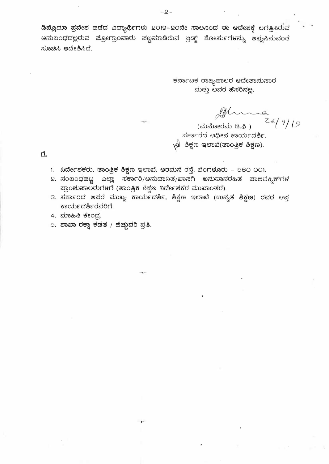ಡಿಪ್ಲೊಮಾ ಪ್ರವೇಶ ಪಡೆದ ವಿದ್ಯಾರ್ಥಿಗಳು 2019–20ನೇ ಸಾಅನಿಂದ ಈ ಆದೇಶಕ್ಕೆ ಲಗತ್ತಿಸಿರುವ ಅನುಬಂಧದಲ್ಲರುವ ಪ್ರೋಗ್ರಾಂವಾರು ಪಟ್ಟಮಾಡಿರುವ ಜ್ರಡ್ಜ್ ಕೋರ್ಸುಗಳನ್ನು ಅಭ್ಯಸಿಸುವಂತೆ ಸೂಚಿಸಿ ಆದೇಶಿಸಿದೆ.

> ಕರ್ನಾಟಕ ರಾಜ್ಯಪಾಲರ ಆದೇಶಾನುಸಾರ ಮತ್ತು ಅವರ ಹೆಸರಿನಲ್ಲ,

 $\frac{a}{28/9/19}$ 

(ಮನೋರಮ ಡಿ.ಫಿ) ಸರ್ಕಾರದ ಅಧೀನ ಕಾರ್ಯದರ್ಶಿ,  $\sqrt{2}$  ಶಿಕ್ಷಣ ಇಲಾಖೆ(ತಾಂತ್ರಿಕ ಶಿಕ್ಷಣ).

 $\overrightarrow{u}$ 

- 1. ನಿರ್ದೇಶಕರು, ತಾಂತ್ರಿಕ ಶಿಕ್ಷಣ ಇಲಾಖೆ, ಅರಮನೆ ರಸ್ತೆ, ಬೆಂಗಳೂರು 560 001.
- 2. ಸಂಬಂಧಪಟ್ಟ ಎಲ್ಲಾ ಸರ್ಕಾರಿ/ಅನುದಾನಿತ/ಖಾಸಗಿ ಅನುದಾನರಹಿತ ಪಾ<mark>ಅ</mark>ಬೆಕ್<del>ನಿಕ್</del>ಗಳ ಪ್ರಾಂಶುಪಾಲರುಗಳಗೆ (ತಾಂತ್ರಿಕ ಶಿಕ್ಷಣ ನಿರ್ದೇಶಕರ ಮುಖಾಂತರ).
- 3. ಸರ್ಕಾರದ ಅಪರ ಮುಖ್ಯ ಕಾರ್ಯದರ್ಶಿ, ಶಿಕ್ಷಣ ಇಲಾಖೆ (ಉನ್ನತ ಶಿಕ್ಷಣ) ರವರ ಆಪ್ತ ಕಾರ್ಯದರ್ಶಿರವರಿಗೆ.
- 4. ಮಾಹಿತಿ ಕೇಂದ್ರ.
- 5. ಶಾಖಾ ರಕ್<mark>ವಾ ಕಡತ</mark> / ಹೆಚ್ಚುವರಿ ಪ್ರತಿ.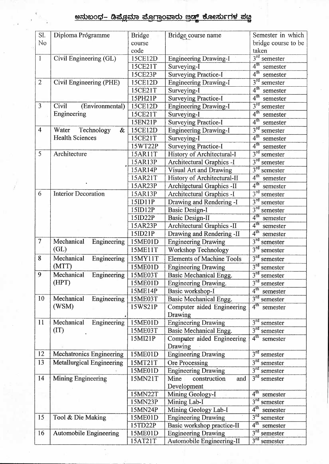## <u>ಅನುಬಂಧ– ಡಿಪ್ಲೊಮಾ ಪ್ರೋಗ್ರಾಂವಾರು ಜ್ರಡ್ಡ್ ಕೋರ್ಸುಗಳ ಪಟ್ಟ</u>

| SI.            | Diploma Programme               | <b>Bridge</b> | Bridge course name               | Semester in which           |
|----------------|---------------------------------|---------------|----------------------------------|-----------------------------|
| No             |                                 | course        |                                  | bridge course to be         |
|                |                                 | code          |                                  | taken                       |
| $\mathbf{1}$   | Civil Engineering (GL)          | 15CE12D       | <b>Engineering Drawing-I</b>     | $3rd$ semester              |
|                |                                 | 15CE21T       | Surveying-I                      | 4 <sup>th</sup><br>semester |
|                |                                 | 15CE23P       | <b>Surveying Practice-I</b>      | 4 <sup>th</sup><br>semester |
| $\overline{2}$ | Civil Engineering (PHE)         | 15CE12D       | <b>Engineering Drawing-I</b>     | $3^{rd}$<br>semester        |
|                |                                 | 15CE21T       | Surveying-I                      | 4 <sup>th</sup><br>semester |
|                |                                 | 15PH21P       | <b>Surveying Practice-I</b>      | 4 <sup>th</sup><br>semester |
| $\overline{3}$ | Civil<br>(Environmental)        | 15CE12D       | <b>Engineering Drawing-I</b>     | $3^{rd}$<br>semester        |
|                | Engineering                     | 15CE21T       | Surveying-I                      | 4 <sup>th</sup><br>semester |
|                |                                 | 15EN21P       | <b>Surveying Practice-I</b>      | 4 <sup>th</sup><br>semester |
| $\overline{4}$ | Technology<br>Water<br>&        | 15CE12D       | <b>Engineering Drawing-I</b>     | 3 <sup>rd</sup><br>semester |
|                | <b>Health Sciences</b>          | 15CE21T       | Surveying-I                      | $4^{\text{th}}$<br>semester |
|                |                                 | 15WT22P       | <b>Surveying Practice-I</b>      | 4 <sup>th</sup><br>semester |
| 5              | Architecture                    | 15AR11T       | History of Architectural-I       | 3 <sup>rd</sup><br>semester |
|                |                                 | 15AR13P       | Architectural Graphics -I        | $3^{rd}$<br>semester        |
|                |                                 | 15AR14P       | Visual Art and Drawing           | 3 <sup>rd</sup><br>semester |
|                |                                 | 15AR21T       | History of Architectural-II      | $4^{\text{th}}$<br>semester |
|                |                                 | 15AR23P       | Architectural Graphics -II       | 4 <sup>th</sup><br>semester |
| 6              | <b>Interior Decoration</b>      | 15AR13P       | Architectural Graphics -I        | $3^{rd}$<br>semester        |
|                |                                 | 15ID11P       | Drawing and Rendering -I         | $3^{rd}$<br>semester        |
|                |                                 | 15ID12P       | <b>Basic Design-I</b>            | $3^{rd}$<br>semester        |
|                |                                 | 15ID22P       | <b>Basic Design-II</b>           | 4 <sup>th</sup><br>semester |
|                |                                 | 15AR23P       | Architectural Graphics -II       | 4 <sup>th</sup><br>semester |
|                |                                 | 15ID21P       | Drawing and Rendering -II        | 4 <sup>th</sup><br>semester |
| $\overline{7}$ | Mechanical<br>Engineering       | 15ME01D       | <b>Engineering Drawing</b>       | $3^{rd}$<br>semester        |
|                | (GL)                            | 15ME11T       | <b>Workshop Technology</b>       | 3 <sup>rd</sup><br>semester |
| 8              | Mechanical<br>Engineering       | 15MY11T       | <b>Elements of Machine Tools</b> | $3^{rd}$<br>semester        |
|                | (MTT)                           | 15ME01D       | <b>Engineering Drawing</b>       | $3^{rd}$<br>semester        |
| 9              | Mechanical<br>Engineering       | 15ME03T       | <b>Basic Mechanical Engg.</b>    | $3^{\rm rd}$<br>semester    |
|                | (HPT)                           | 15ME01D       | Engineering Drawing.             | $3^{rd}$<br>semester        |
|                |                                 | 15ME14P       | Basic workshop-I                 | 4 <sup>th</sup><br>semester |
| 10             | Mechanical<br>Engineering       | 15ME03T       | Basic Mechanical Engg.           | 3 <sup>rd</sup><br>semester |
|                | (WSM)                           | 15WS21P       | Computer aided Engineering       | 4 <sup>th</sup><br>semester |
|                |                                 |               | Drawing                          |                             |
| 11             | Mechanical<br>Engineering       | 15ME01D       | <b>Engineering Drawing</b>       | 3 <sup>rd</sup><br>semester |
|                | (TT)                            | 15ME03T       | Basic Mechanical Engg.           | $3rd$ semester              |
|                |                                 | 15MI21P       | Computer aided Engineering       | 4 <sup>th</sup><br>semester |
|                |                                 |               | Drawing                          |                             |
| 12             | <b>Mechatronics Engineering</b> | 15ME01D       | <b>Engineering Drawing</b>       | $3^{rd}$<br>semester        |
| 13             | Metallurgical Engineering       | 15MT21T       | Ore Processing                   | 3 <sup>rd</sup><br>semester |
|                |                                 | 15ME01D       | <b>Engineering Drawing</b>       | $3^{rd}$<br>semester        |
| 14             | Mining Engineering              | 15MN21T       | Mine<br>construction<br>and      | $3rd$ semester              |
|                |                                 |               | Development                      |                             |
|                |                                 | 15MN22T       | Mining Geology-I                 | 4 <sup>th</sup><br>semester |
|                |                                 | 15MN23P       | Mining Lab-I                     | $3^{rd}$<br>semester        |
|                |                                 | 15MN24P       | Mining Geology Lab-I             | 4 <sup>th</sup><br>semester |
| 15             | Tool & Die Making               | 15ME01D       | <b>Engineering Drawing</b>       | $3^{rd}$<br>semester        |
|                |                                 | 15TD22P       | Basic workshop practice-II       | 4 <sup>th</sup><br>semester |
| 16             | <b>Automobile Engineering</b>   | 15ME01D       | <b>Engineering Drawing</b>       | $3^{rd}$<br>semester        |
|                |                                 | 15AT21T       | Automobile Engineering-II        | $3^{rd}$<br>semester        |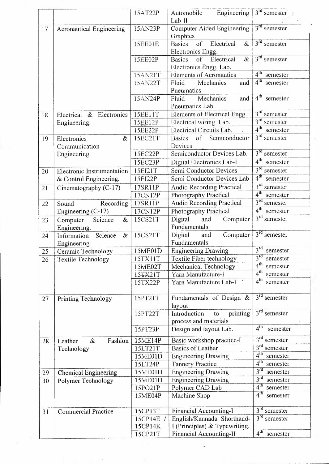|    |                                 | 15AT22P        | Engineering<br>Automobile                       | $3rd$ semester $\cdot$      |
|----|---------------------------------|----------------|-------------------------------------------------|-----------------------------|
|    |                                 |                | Lab-II                                          |                             |
| 17 | <b>Aeronautical Engineering</b> | 15AN23P        | Computer Aided Engineering<br>Graphics          | $3rd$ semester              |
|    |                                 | 15EE01E        | of<br>Electrical<br><b>Basics</b><br>$\&$       | $3rd$ semester              |
|    |                                 |                | Electronics Engg.                               |                             |
|    |                                 | 15EE02P        | Electrical<br>$\&$<br><b>Basics</b><br>of       | $3rd$ semester              |
|    |                                 |                | Electronics Engg. Lab.                          | $4^{\text{th}}$             |
|    |                                 | 15AN21T        | <b>Elements of Aeronautics</b>                  | semester                    |
|    |                                 | 15AN22T        | Fluid<br>Mechanics<br>and<br>Pneumatics         | $4^{\text{th}}$<br>semester |
|    |                                 | 15AN24P        | Mechanics<br>Fluid<br>and                       | 4 <sup>th</sup><br>semester |
|    |                                 |                | Pneumatics Lab.                                 |                             |
| 18 | Electrical & Electronics        | <b>15EE11T</b> | Elements of Electrical Engg.                    | $3rd$ semester              |
|    | Engineering.                    | 15EE12P        | Electrical wiring Lab.                          | $3rd$ semester              |
|    |                                 | 15EE22P        | Electrical Circuits Lab.                        | 4 <sup>th</sup><br>semester |
| 19 | Electronics<br>$\&$             | 15EC21T        | Semiconductor<br>of<br><b>Basics</b>            | $3rd$ semester              |
|    | Communication                   |                | Devices                                         |                             |
|    | Engineering.                    | 15EC22P        | Semiconductor Devices Lab.                      | $3rd$ semester              |
|    |                                 | 15EC23P        | Digital Electronics Lab-I                       | 4 <sup>th</sup><br>semester |
| 20 | Electronic Instrumentation      | 15EI21T        | Semi Conductor Devices                          | 3 <sup>rd</sup><br>semester |
|    | & Control Engineering.          | 15EI22P        | Semi Conductor Devices Lab                      | 4 <sup>th</sup><br>semester |
| 21 | Cinematography (C-17)           | 17SR11P        | <b>Audio Recording Practical</b>                | $3^{rd}$<br>semester        |
|    |                                 | 17CN12P        | Photography Practical                           | 4 <sup>th</sup><br>semester |
| 22 | Sound<br>Recording              | 17SR11P        | <b>Audio Recording Practical</b>                | 3 <sup>rd</sup><br>semester |
|    | Engineering.(C-17)              | 17CN12P        | Photography Practical                           | 4 <sup>th</sup><br>semester |
| 23 | Science<br>&<br>Computer        | 15CS21T        | Computer<br>Digital<br>and                      | $3rd$ semester              |
|    | Engineering.                    |                | Fundamentals                                    |                             |
| 24 | Information<br>Science<br>$\&$  | 15CS21T        | Digital<br>Computer<br>and                      | $3rd$ semester              |
|    | Engineering.                    |                | Fundamentals                                    |                             |
| 25 | Ceramic Technology              | 15ME01D        | <b>Engineering Drawing</b>                      | 3 <sup>rd</sup><br>semester |
| 26 | <b>Textile Technology</b>       | 15TX11T        | Textile Fiber technology                        | 3 <sup>rd</sup><br>semester |
|    |                                 | 15ME02T        | Mechanical Technology                           | 4 <sup>th</sup><br>semester |
|    |                                 | 15TX21T        | Yarn Manufacture-I                              | $4^{\text{th}}$<br>semester |
|    |                                 | 15TX22P        | Yarn Manufacture Lab-I                          | 4 <sup>th</sup><br>semester |
|    |                                 |                |                                                 |                             |
| 27 | <b>Printing Technology</b>      | 15PT21T        | Fundamentals of Design $\&$                     | $3rd$ semester              |
|    |                                 |                | layout                                          |                             |
|    |                                 | 15PT22T        | Introduction<br>to printing                     | $3rd$ semester              |
|    |                                 | 15PT23P        | process and materials<br>Design and layout Lab. | 4 <sup>th</sup><br>semester |
| 28 | Fashion<br>Leather<br>$\&$      | 15ME14P        | Basic workshop practice-I                       | 3 <sup>rd</sup><br>semester |
|    | Technology                      | 15LT21T        | <b>Basics of Leather</b>                        | 3 <sup>rd</sup><br>semester |
|    |                                 | 15ME01D        | <b>Engineering Drawing</b>                      | 4 <sup>th</sup><br>semester |
|    |                                 | 15LT24P        | <b>Tannery Practice</b>                         | 4 <sup>th</sup><br>semester |
| 29 | <b>Chemical Engineering</b>     | 15ME01D        | <b>Engineering Drawing</b>                      | $3^{rd}$<br>semester        |
| 30 | Polymer Technology              | 15ME01D        | <b>Engineering Drawing</b>                      | 3 <sup>rd</sup><br>semester |
|    |                                 | 15PO21P        | Polymer CAD Lab                                 | 4 <sup>th</sup><br>semester |
|    |                                 | 15ME04P        | Machine Shop                                    | 4 <sup>th</sup><br>semester |
|    |                                 |                |                                                 | $3^{rd}$                    |
| 31 | <b>Commercial Practice</b>      | 15CP13T        | Financial Accounting-I                          | semester<br>$3rd$ semester  |
|    |                                 | 15CP14E /      | English/Kannada Shorthand-                      |                             |
|    |                                 | 15CP14K        | I (Principles) & Typewriting.                   | 4 <sup>th</sup>             |
|    |                                 | 15CP21T        | <b>Financial Accounting-II</b>                  | semester                    |

 $\overline{\phantom{a}}$